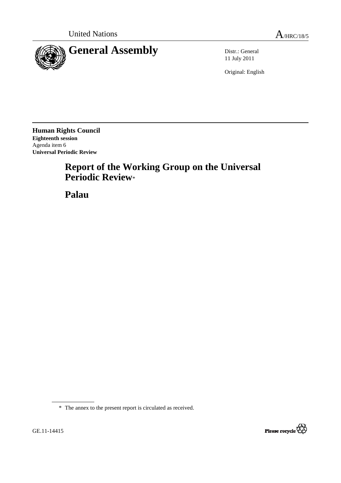

11 July 2011

Original: English

**Human Rights Council Eighteenth session**  Agenda item 6 **Universal Periodic Review** 

# **Report of the Working Group on the Universal Periodic Review**\*

 **Palau** 



<sup>\*</sup> The annex to the present report is circulated as received.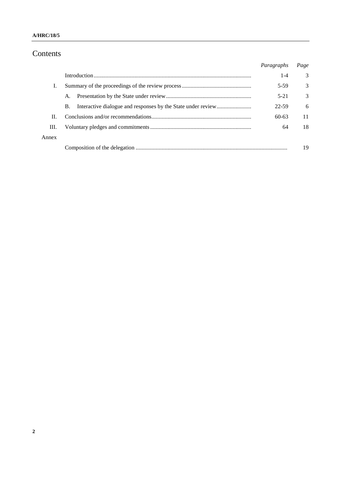## Contents

|       |    | Paragraphs | Page          |
|-------|----|------------|---------------|
|       |    | $1 - 4$    | 3             |
| Ι.    |    | 5-59       | 3             |
|       | A. | $5 - 21$   | $\mathcal{E}$ |
|       | B. | 22-59      | 6             |
| H.    |    | $60-63$    | 11            |
| III.  |    | 64         | 18            |
| Annex |    |            |               |
|       |    |            |               |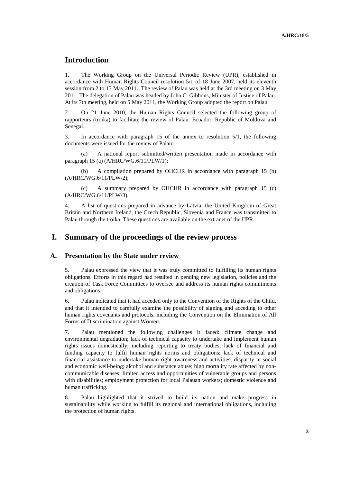## **Introduction**

1. The Working Group on the Universal Periodic Review (UPR), established in accordance with Human Rights Council resolution 5/1 of 18 June 2007, held its eleventh session from 2 to 13 May 2011. The review of Palau was held at the 3rd meeting on 3 May 2011. The delegation of Palau was headed by John C. Gibbons, Minister of Justice of Palau. At its 7th meeting, held on 5 May 2011, the Working Group adopted the report on Palau.

2. On 21 June 2010, the Human Rights Council selected the following group of rapporteurs (troika) to facilitate the review of Palau: Ecuador, Republic of Moldova and Senegal.

3. In accordance with paragraph 15 of the annex to resolution 5/1, the following documents were issued for the review of Palau:

 (a) A national report submitted/written presentation made in accordance with paragraph 15 (a) (A/HRC/WG.6/11/PLW/1);

 (b) A compilation prepared by OHCHR in accordance with paragraph 15 (b) (A/HRC/WG.6/11/PLW/2);

 (c) A summary prepared by OHCHR in accordance with paragraph 15 (c) (A/HRC/WG.6/11/PLW/3).

4. A list of questions prepared in advance by Latvia, the United Kingdom of Great Britain and Northern Ireland, the Czech Republic, Slovenia and France was transmitted to Palau through the troika. These questions are available on the extranet of the UPR.

#### **I. Summary of the proceedings of the review process**

#### **A. Presentation by the State under review**

5. Palau expressed the view that it was truly committed to fulfilling its human rights obligations. Efforts in this regard had resulted in pending new legislation, policies and the creation of Task Force Committees to oversee and address its human rights commitments and obligations.

6. Palau indicated that it had acceded only to the Convention of the Rights of the Child, and that it intended to carefully examine the possibility of signing and acceding to other human rights covenants and protocols, including the Convention on the Elimination of All Forms of Discrimination against Women.

7. Palau mentioned the following challenges it faced: climate change and environmental degradation; lack of technical capacity to undertake and implement human rights issues domestically, including reporting to treaty bodies; lack of financial and funding capacity to fulfil human rights norms and obligations; lack of technical and financial assistance to undertake human right awareness and activities; disparity in social and economic well-being; alcohol and substance abuse; high mortality rate affected by noncommunicable diseases; limited access and opportunities of vulnerable groups and persons with disabilities; employment protection for local Palauan workers; domestic violence and human trafficking.

8. Palau highlighted that it strived to build its nation and make progress in sustainability while working to fulfill its regional and international obligations, including the protection of human rights.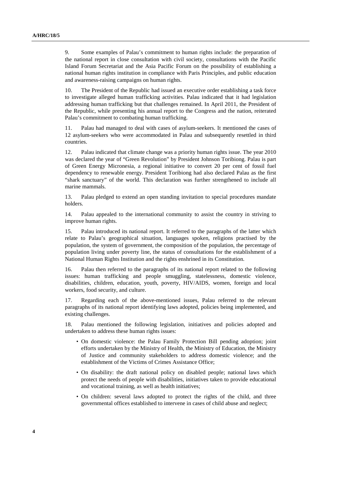9. Some examples of Palau's commitment to human rights include: the preparation of the national report in close consultation with civil society, consultations with the Pacific Island Forum Secretariat and the Asia Pacific Forum on the possibility of establishing a national human rights institution in compliance with Paris Principles, and public education and awareness-raising campaigns on human rights.

10. The President of the Republic had issued an executive order establishing a task force to investigate alleged human trafficking activities. Palau indicated that it had legislation addressing human trafficking but that challenges remained. In April 2011, the President of the Republic, while presenting his annual report to the Congress and the nation, reiterated Palau's commitment to combating human trafficking.

Palau had managed to deal with cases of asylum-seekers. It mentioned the cases of 12 asylum-seekers who were accommodated in Palau and subsequently resettled in third countries.

12. Palau indicated that climate change was a priority human rights issue. The year 2010 was declared the year of "Green Revolution" by President Johnson Toribiong. Palau is part of Green Energy Micronesia, a regional initiative to convert 20 per cent of fossil fuel dependency to renewable energy. President Toribiong had also declared Palau as the first "shark sanctuary" of the world. This declaration was further strengthened to include all marine mammals.

13. Palau pledged to extend an open standing invitation to special procedures mandate holders.

14. Palau appealed to the international community to assist the country in striving to improve human rights.

15. Palau introduced its national report. It referred to the paragraphs of the latter which relate to Palau's geographical situation, languages spoken, religions practised by the population, the system of government, the composition of the population, the percentage of population living under poverty line, the status of consultations for the establishment of a National Human Rights Institution and the rights enshrined in its Constitution.

16. Palau then referred to the paragraphs of its national report related to the following issues: human trafficking and people smuggling, statelessness, domestic violence, disabilities, children, education, youth, poverty, HIV/AIDS, women, foreign and local workers, food security, and culture.

17. Regarding each of the above-mentioned issues, Palau referred to the relevant paragraphs of its national report identifying laws adopted, policies being implemented, and existing challenges.

18. Palau mentioned the following legislation, initiatives and policies adopted and undertaken to address these human rights issues:

- On domestic violence: the Palau Family Protection Bill pending adoption; joint efforts undertaken by the Ministry of Health, the Ministry of Education, the Ministry of Justice and community stakeholders to address domestic violence; and the establishment of the Victims of Crimes Assistance Office;
- On disability: the draft national policy on disabled people; national laws which protect the needs of people with disabilities, initiatives taken to provide educational and vocational training, as well as health initiatives;
- On children: several laws adopted to protect the rights of the child, and three governmental offices established to intervene in cases of child abuse and neglect;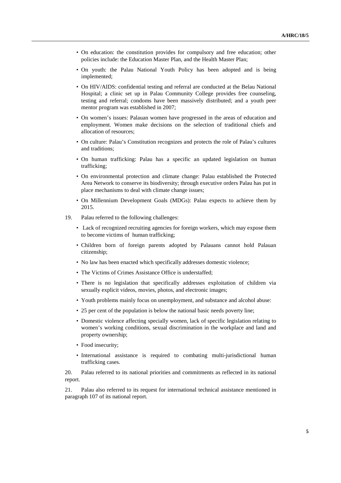- On education: the constitution provides for compulsory and free education; other policies include: the Education Master Plan, and the Health Master Plan;
- On youth: the Palau National Youth Policy has been adopted and is being implemented;
- On HIV/AIDS: confidential testing and referral are conducted at the Belau National Hospital; a clinic set up in Palau Community College provides free counseling, testing and referral; condoms have been massively distributed; and a youth peer mentor program was established in 2007;
- On women's issues: Palauan women have progressed in the areas of education and employment. Women make decisions on the selection of traditional chiefs and allocation of resources;
- On culture: Palau's Constitution recognizes and protects the role of Palau's cultures and traditions;
- On human trafficking: Palau has a specific an updated legislation on human trafficking;
- On environmental protection and climate change: Palau established the Protected Area Network to conserve its biodiversity; through executive orders Palau has put in place mechanisms to deal with climate change issues;
- On Millennium Development Goals (MDGs): Palau expects to achieve them by 2015.
- 19. Palau referred to the following challenges:
	- Lack of recognized recruiting agencies for foreign workers, which may expose them to become victims of human trafficking;
	- Children born of foreign parents adopted by Palauans cannot hold Palauan citizenship;
	- No law has been enacted which specifically addresses domestic violence;
	- The Victims of Crimes Assistance Office is understaffed;
	- There is no legislation that specifically addresses exploitation of children via sexually explicit videos, movies, photos, and electronic images;
	- Youth problems mainly focus on unemployment, and substance and alcohol abuse:
	- 25 per cent of the population is below the national basic needs poverty line;
	- Domestic violence affecting specially women, lack of specific legislation relating to women's working conditions, sexual discrimination in the workplace and land and property ownership;
	- Food insecurity:
	- International assistance is required to combating multi-jurisdictional human trafficking cases.

20. Palau referred to its national priorities and commitments as reflected in its national report.

21. Palau also referred to its request for international technical assistance mentioned in paragraph 107 of its national report.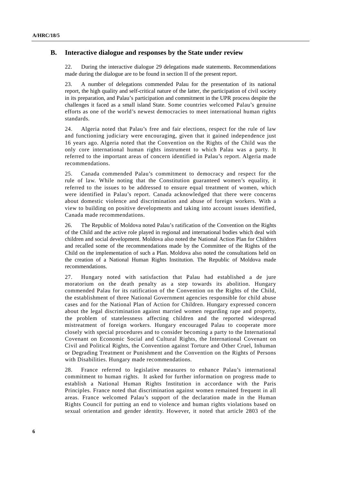#### **B. Interactive dialogue and responses by the State under review**

22. During the interactive dialogue 29 delegations made statements. Recommendations made during the dialogue are to be found in section II of the present report.

23. A number of delegations commended Palau for the presentation of its national report, the high quality and self-critical nature of the latter, the participation of civil society in its preparation, and Palau's participation and commitment in the UPR process despite the challenges it faced as a small island State. Some countries welcomed Palau's genuine efforts as one of the world's newest democracies to meet international human rights standards.

24. Algeria noted that Palau's free and fair elections, respect for the rule of law and functioning judiciary were encouraging, given that it gained independence just 16 years ago. Algeria noted that the Convention on the Rights of the Child was the only core international human rights instrument to which Palau was a party. It referred to the important areas of concern identified in Palau's report. Algeria made recommendations.

25. Canada commended Palau's commitment to democracy and respect for the rule of law. While noting that the Constitution guaranteed women's equality, it referred to the issues to be addressed to ensure equal treatment of women, which were identified in Palau's report. Canada acknowledged that there were concerns about domestic violence and discrimination and abuse of foreign workers. With a view to building on positive developments and taking into account issues identified, Canada made recommendations.

26. The Republic of Moldova noted Palau's ratification of the Convention on the Rights of the Child and the active role played in regional and international bodies which deal with children and social development. Moldova also noted the National Action Plan for Children and recalled some of the recommendations made by the Committee of the Rights of the Child on the implementation of such a Plan. Moldova also noted the consultations held on the creation of a National Human Rights Institution. The Republic of Moldova made recommendations.

27. Hungary noted with satisfaction that Palau had established a de jure moratorium on the death penalty as a step towards its abolition. Hungary commended Palau for its ratification of the Convention on the Rights of the Child, the establishment of three National Government agencies responsible for child abuse cases and for the National Plan of Action for Children. Hungary expressed concern about the legal discrimination against married women regarding rape and property, the problem of statelessness affecting children and the reported widespread mistreatment of foreign workers. Hungary encouraged Palau to cooperate more closely with special procedures and to consider becoming a party to the International Covenant on Economic Social and Cultural Rights, the International Covenant on Civil and Political Rights, the Convention against Torture and Other Cruel, Inhuman or Degrading Treatment or Punishment and the Convention on the Rights of Persons with Disabilities. Hungary made recommendations.

28. France referred to legislative measures to enhance Palau's international commitment to human rights. It asked for further information on progress made to establish a National Human Rights Institution in accordance with the Paris Principles. France noted that discrimination against women remained frequent in all areas. France welcomed Palau's support of the declaration made in the Human Rights Council for putting an end to violence and human rights violations based on sexual orientation and gender identity. However, it noted that article 2803 of the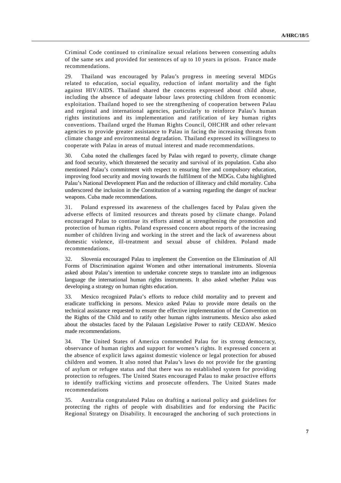Criminal Code continued to criminalize sexual relations between consenting adults of the same sex and provided for sentences of up to 10 years in prison. France made recommendations.

29. Thailand was encouraged by Palau's progress in meeting several MDGs related to education, social equality, reduction of infant mortality and the fight against HIV/AIDS. Thailand shared the concerns expressed about child abuse, including the absence of adequate labour laws protecting children from economic exploitation. Thailand hoped to see the strengthening of cooperation between Palau and regional and international agencies, particularly to reinforce Palau's human rights institutions and its implementation and ratification of key human rights conventions. Thailand urged the Human Rights Council, OHCHR and other relevant agencies to provide greater assistance to Palau in facing the increasing threats from climate change and environmental degradation. Thailand expressed its willingness to cooperate with Palau in areas of mutual interest and made recommendations.

30. Cuba noted the challenges faced by Palau with regard to poverty, climate change and food security, which threatened the security and survival of its population. Cuba also mentioned Palau's commitment with respect to ensuring free and compulsory education, improving food security and moving towards the fulfilment of the MDGs. Cuba highlighted Palau's National Development Plan and the reduction of illiteracy and child mortality. Cuba underscored the inclusion in the Constitution of a warning regarding the danger of nuclear weapons. Cuba made recommendations.

31. Poland expressed its awareness of the challenges faced by Palau given the adverse effects of limited resources and threats posed by climate change. Poland encouraged Palau to continue its efforts aimed at strengthening the promotion and protection of human rights. Poland expressed concern about reports of the increasing number of children living and working in the street and the lack of awareness about domestic violence, ill-treatment and sexual abuse of children. Poland made recommendations.

32. Slovenia encouraged Palau to implement the Convention on the Elimination of All Forms of Discrimination against Women and other international instruments. Slovenia asked about Palau's intention to undertake concrete steps to translate into an indigenous language the international human rights instruments. It also asked whether Palau was developing a strategy on human rights education.

33. Mexico recognized Palau's efforts to reduce child mortality and to prevent and eradicate trafficking in persons. Mexico asked Palau to provide more details on the technical assistance requested to ensure the effective implementation of the Convention on the Rights of the Child and to ratify other human rights instruments. Mexico also asked about the obstacles faced by the Palauan Legislative Power to ratify CEDAW. Mexico made recommendations.

34. The United States of America commended Palau for its strong democracy, observance of human rights and support for women's rights. It expressed concern at the absence of explicit laws against domestic violence or legal protection for abused children and women. It also noted that Palau's laws do not provide for the granting of asylum or refugee status and that there was no established system for providing protection to refugees. The United States encouraged Palau to make proactive efforts to identify trafficking victims and prosecute offenders. The United States made recommendations

35. Australia congratulated Palau on drafting a national policy and guidelines for protecting the rights of people with disabilities and for endorsing the Pacific Regional Strategy on Disability. It encouraged the anchoring of such protections in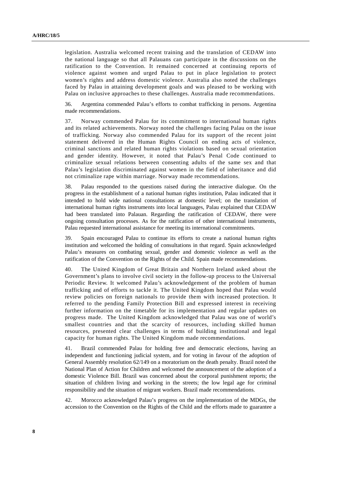legislation. Australia welcomed recent training and the translation of CEDAW into the national language so that all Palauans can participate in the discussions on the ratification to the Convention. It remained concerned at continuing reports of violence against women and urged Palau to put in place legislation to protect women's rights and address domestic violence. Australia also noted the challenges faced by Palau in attaining development goals and was pleased to be working with Palau on inclusive approaches to these challenges. Australia made recommendations.

36. Argentina commended Palau's efforts to combat trafficking in persons. Argentina made recommendations.

37. Norway commended Palau for its commitment to international human rights and its related achievements. Norway noted the challenges facing Palau on the issue of trafficking. Norway also commended Palau for its support of the recent joint statement delivered in the Human Rights Council on ending acts of violence, criminal sanctions and related human rights violations based on sexual orientation and gender identity. However, it noted that Palau's Penal Code continued to criminalize sexual relations between consenting adults of the same sex and that Palau's legislation discriminated against women in the field of inheritance and did not criminalize rape within marriage. Norway made recommendations.

38. Palau responded to the questions raised during the interactive dialogue. On the progress in the establishment of a national human rights institution, Palau indicated that it intended to hold wide national consultations at domestic level; on the translation of international human rights instruments into local languages, Palau explained that CEDAW had been translated into Palauan. Regarding the ratification of CEDAW, there were ongoing consultation processes. As for the ratification of other international instruments, Palau requested international assistance for meeting its international commitments.

39. Spain encouraged Palau to continue its efforts to create a national human rights institution and welcomed the holding of consultations in that regard. Spain acknowledged Palau's measures on combating sexual, gender and domestic violence as well as the ratification of the Convention on the Rights of the Child. Spain made recommendations.

40. The United Kingdom of Great Britain and Northern Ireland asked about the Government's plans to involve civil society in the follow-up process to the Universal Periodic Review. It welcomed Palau's acknowledgement of the problem of human trafficking and of efforts to tackle it. The United Kingdom hoped that Palau would review policies on foreign nationals to provide them with increased protection. It referred to the pending Family Protection Bill and expressed interest in receiving further information on the timetable for its implementation and regular updates on progress made. The United Kingdom acknowledged that Palau was one of world's smallest countries and that the scarcity of resources, including skilled human resources, presented clear challenges in terms of building institutional and legal capacity for human rights. The United Kingdom made recommendations.

41. Brazil commended Palau for holding free and democratic elections, having an independent and functioning judicial system, and for voting in favour of the adoption of General Assembly resolution 62/149 on a moratorium on the death penalty. Brazil noted the National Plan of Action for Children and welcomed the announcement of the adoption of a domestic Violence Bill. Brazil was concerned about the corporal punishment reports; the situation of children living and working in the streets; the low legal age for criminal responsibility and the situation of migrant workers. Brazil made recommendations.

42. Morocco acknowledged Palau's progress on the implementation of the MDGs, the accession to the Convention on the Rights of the Child and the efforts made to guarantee a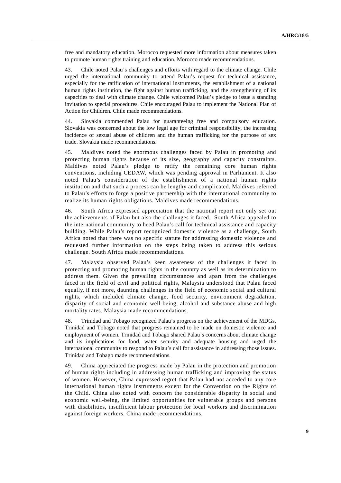free and mandatory education. Morocco requested more information about measures taken to promote human rights training and education. Morocco made recommendations.

43. Chile noted Palau's challenges and efforts with regard to the climate change. Chile urged the international community to attend Palau's request for technical assistance, especially for the ratification of international instruments, the establishment of a national human rights institution, the fight against human trafficking, and the strengthening of its capacities to deal with climate change. Chile welcomed Palau's pledge to issue a standing invitation to special procedures. Chile encouraged Palau to implement the National Plan of Action for Children. Chile made recommendations.

44. Slovakia commended Palau for guaranteeing free and compulsory education. Slovakia was concerned about the low legal age for criminal responsibility, the increasing incidence of sexual abuse of children and the human trafficking for the purpose of sex trade. Slovakia made recommendations.

45. Maldives noted the enormous challenges faced by Palau in promoting and protecting human rights because of its size, geography and capacity constraints. Maldives noted Palau's pledge to ratify the remaining core human rights conventions, including CEDAW, which was pending approval in Parliament. It also noted Palau's consideration of the establishment of a national human rights institution and that such a process can be lengthy and complicated. Maldives referred to Palau's efforts to forge a positive partnership with the international community to realize its human rights obligations. Maldives made recommendations.

46. South Africa expressed appreciation that the national report not only set out the achievements of Palau but also the challenges it faced. South Africa appealed to the international community to heed Palau's call for technical assistance and capacity building. While Palau's report recognized domestic violence as a challenge, South Africa noted that there was no specific statute for addressing domestic violence and requested further information on the steps being taken to address this serious challenge. South Africa made recommendations.

47. Malaysia observed Palau's keen awareness of the challenges it faced in protecting and promoting human rights in the country as well as its determination to address them. Given the prevailing circumstances and apart from the challenges faced in the field of civil and political rights, Malaysia understood that Palau faced equally, if not more, daunting challenges in the field of economic social and cultural rights, which included climate change, food security, environment degradation, disparity of social and economic well-being, alcohol and substance abuse and high mortality rates. Malaysia made recommendations.

48. Trinidad and Tobago recognized Palau's progress on the achievement of the MDGs. Trinidad and Tobago noted that progress remained to be made on domestic violence and employment of women. Trinidad and Tobago shared Palau's concerns about climate change and its implications for food, water security and adequate housing and urged the international community to respond to Palau's call for assistance in addressing those issues. Trinidad and Tobago made recommendations.

49. China appreciated the progress made by Palau in the protection and promotion of human rights including in addressing human trafficking and improving the status of women. However, China expressed regret that Palau had not acceded to any core international human rights instruments except for the Convention on the Rights of the Child. China also noted with concern the considerable disparity in social and economic well-being, the limited opportunities for vulnerable groups and persons with disabilities, insufficient labour protection for local workers and discrimination against foreign workers. China made recommendations.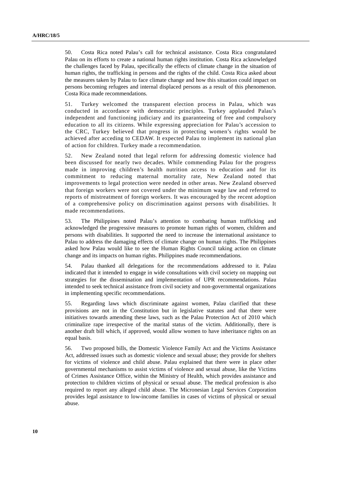50. Costa Rica noted Palau's call for technical assistance. Costa Rica congratulated Palau on its efforts to create a national human rights institution. Costa Rica acknowledged the challenges faced by Palau, specifically the effects of climate change in the situation of human rights, the trafficking in persons and the rights of the child. Costa Rica asked about the measures taken by Palau to face climate change and how this situation could impact on persons becoming refugees and internal displaced persons as a result of this phenomenon. Costa Rica made recommendations.

51. Turkey welcomed the transparent election process in Palau, which was conducted in accordance with democratic principles. Turkey applauded Palau's independent and functioning judiciary and its guaranteeing of free and compulsory education to all its citizens. While expressing appreciation for Palau's accession to the CRC, Turkey believed that progress in protecting women's rights would be achieved after acceding to CEDAW. It expected Palau to implement its national plan of action for children. Turkey made a recommendation.

52. New Zealand noted that legal reform for addressing domestic violence had been discussed for nearly two decades. While commending Palau for the progress made in improving children's health nutrition access to education and for its commitment to reducing maternal mortality rate, New Zealand noted that improvements to legal protection were needed in other areas. New Zealand observed that foreign workers were not covered under the minimum wage law and referred to reports of mistreatment of foreign workers. It was encouraged by the recent adoption of a comprehensive policy on discrimination against persons with disabilities. It made recommendations.

53. The Philippines noted Palau's attention to combating human trafficking and acknowledged the progressive measures to promote human rights of women, children and persons with disabilities. It supported the need to increase the international assistance to Palau to address the damaging effects of climate change on human rights. The Philippines asked how Palau would like to see the Human Rights Council taking action on climate change and its impacts on human rights. Philippines made recommendations.

54. Palau thanked all delegations for the recommendations addressed to it. Palau indicated that it intended to engage in wide consultations with civil society on mapping out strategies for the dissemination and implementation of UPR recommendations. Palau intended to seek technical assistance from civil society and non-governmental organizations in implementing specific recommendations.

55. Regarding laws which discriminate against women, Palau clarified that these provisions are not in the Constitution but in legislative statutes and that there were initiatives towards amending these laws, such as the Palau Protection Act of 2010 which criminalize rape irrespective of the marital status of the victim. Additionally, there is another draft bill which, if approved, would allow women to have inheritance rights on an equal basis.

56. Two proposed bills, the Domestic Violence Family Act and the Victims Assistance Act, addressed issues such as domestic violence and sexual abuse; they provide for shelters for victims of violence and child abuse. Palau explained that there were in place other governmental mechanisms to assist victims of violence and sexual abuse, like the Victims of Crimes Assistance Office, within the Ministry of Health, which provides assistance and protection to children victims of physical or sexual abuse. The medical profession is also required to report any alleged child abuse. The Micronesian Legal Services Corporation provides legal assistance to low-income families in cases of victims of physical or sexual abuse.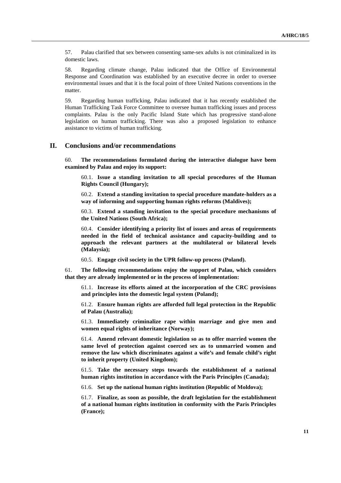57. Palau clarified that sex between consenting same-sex adults is not criminalized in its domestic laws.

58. Regarding climate change, Palau indicated that the Office of Environmental Response and Coordination was established by an executive decree in order to oversee environmental issues and that it is the focal point of three United Nations conventions in the matter.

59. Regarding human trafficking, Palau indicated that it has recently established the Human Trafficking Task Force Committee to oversee human trafficking issues and process complaints. Palau is the only Pacific Island State which has progressive stand-alone legislation on human trafficking. There was also a proposed legislation to enhance assistance to victims of human trafficking.

#### **II. Conclusions and/or recommendations**

60. **The recommendations formulated during the interactive dialogue have been examined by Palau and enjoy its support:**

60.1. **Issue a standing invitation to all special procedures of the Human Rights Council (Hungary);**

60.2. **Extend a standing invitation to special procedure mandate-holders as a way of informing and supporting human rights reforms (Maldives);**

60.3. **Extend a standing invitation to the special procedure mechanisms of the United Nations (South Africa);**

60.4. **Consider identifying a priority list of issues and areas of requirements needed in the field of technical assistance and capacity-building and to approach the relevant partners at the multilateral or bilateral levels (Malaysia);**

60.5. **Engage civil society in the UPR follow-up process (Poland).**

61. **The following recommendations enjoy the support of Palau, which considers that they are already implemented or in the process of implementation:**

61.1. **Increase its efforts aimed at the incorporation of the CRC provisions and principles into the domestic legal system (Poland);** 

61.2. **Ensure human rights are afforded full legal protection in the Republic of Palau (Australia);** 

61.3. **Immediately criminalize rape within marriage and give men and women equal rights of inheritance (Norway);** 

61.4. **Amend relevant domestic legislation so as to offer married women the same level of protection against coerced sex as to unmarried women and remove the law which discriminates against a wife's and female child's right to inherit property (United Kingdom);** 

61.5. **Take the necessary steps towards the establishment of a national human rights institution in accordance with the Paris Principles (Canada);** 

61.6. **Set up the national human rights institution (Republic of Moldova);** 

61.7. **Finalize, as soon as possible, the draft legislation for the establishment of a national human rights institution in conformity with the Paris Principles (France);**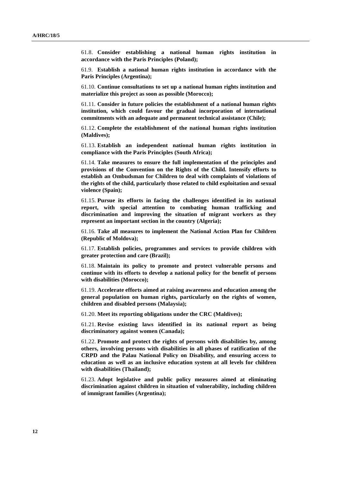61.8. **Consider establishing a national human rights institution in accordance with the Paris Principles (Poland);** 

61.9. **Establish a national human rights institution in accordance with the Paris Principles (Argentina);** 

61.10. **Continue consultations to set up a national human rights institution and materialize this project as soon as possible (Morocco);** 

61.11. **Consider in future policies the establishment of a national human rights institution, which could favour the gradual incorporation of international commitments with an adequate and permanent technical assistance (Chile);** 

61.12. **Complete the establishment of the national human rights institution (Maldives);** 

61.13. **Establish an independent national human rights institution in compliance with the Paris Principles (South Africa);** 

61.14. **Take measures to ensure the full implementation of the principles and provisions of the Convention on the Rights of the Child. Intensify efforts to establish an Ombudsman for Children to deal with complaints of violations of the rights of the child, particularly those related to child exploitation and sexual violence (Spain);** 

61.15. **Pursue its efforts in facing the challenges identified in its national report, with special attention to combating human trafficking and discrimination and improving the situation of migrant workers as they represent an important section in the country (Algeria);** 

61.16. **Take all measures to implement the National Action Plan for Children (Republic of Moldova);** 

61.17. **Establish policies, programmes and services to provide children with greater protection and care (Brazil);** 

61.18. **Maintain its policy to promote and protect vulnerable persons and continue with its efforts to develop a national policy for the benefit of persons with disabilities (Morocco);** 

61.19. **Accelerate efforts aimed at raising awareness and education among the general population on human rights, particularly on the rights of women, children and disabled persons (Malaysia);** 

61.20. **Meet its reporting obligations under the CRC (Maldives);** 

61.21. **Revise existing laws identified in its national report as being discriminatory against women (Canada);** 

61.22. **Promote and protect the rights of persons with disabilities by, among others, involving persons with disabilities in all phases of ratification of the CRPD and the Palau National Policy on Disability, and ensuring access to education as well as an inclusive education system at all levels for children with disabilities (Thailand);** 

61.23. **Adopt legislative and public policy measures aimed at eliminating discrimination against children in situation of vulnerability, including children of immigrant families (Argentina);**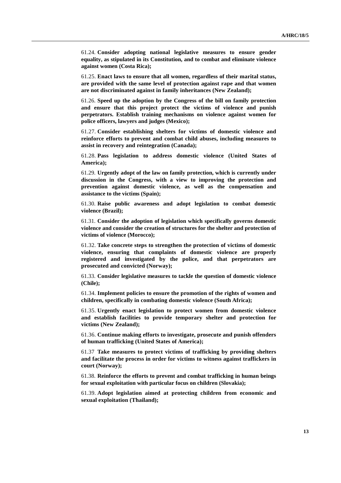61.24. **Consider adopting national legislative measures to ensure gender equality, as stipulated in its Constitution, and to combat and eliminate violence against women (Costa Rica);** 

61.25. **Enact laws to ensure that all women, regardless of their marital status, are provided with the same level of protection against rape and that women are not discriminated against in family inheritances (New Zealand);** 

61.26. **Speed up the adoption by the Congress of the bill on family protection and ensure that this project protect the victims of violence and punish perpetrators. Establish training mechanisms on violence against women for police officers, lawyers and judges (Mexico);** 

61.27. **Consider establishing shelters for victims of domestic violence and reinforce efforts to prevent and combat child abuses, including measures to assist in recovery and reintegration (Canada);** 

61.28. **Pass legislation to address domestic violence (United States of America);**

61.29. **Urgently adopt of the law on family protection, which is currently under discussion in the Congress, with a view to improving the protection and prevention against domestic violence, as well as the compensation and assistance to the victims (Spain);** 

61.30. **Raise public awareness and adopt legislation to combat domestic violence (Brazil);** 

61.31. **Consider the adoption of legislation which specifically governs domestic violence and consider the creation of structures for the shelter and protection of victims of violence (Morocco);** 

61.32. **Take concrete steps to strengthen the protection of victims of domestic violence, ensuring that complaints of domestic violence are properly registered and investigated by the police, and that perpetrators are prosecuted and convicted (Norway);** 

61.33. **Consider legislative measures to tackle the question of domestic violence (Chile);** 

61.34. **Implement policies to ensure the promotion of the rights of women and children, specifically in combating domestic violence (South Africa);** 

61.35. **Urgently enact legislation to protect women from domestic violence and establish facilities to provide temporary shelter and protection for victims (New Zealand);** 

61.36. **Continue making efforts to investigate, prosecute and punish offenders of human trafficking (United States of America);** 

61.37 **Take measures to protect victims of trafficking by providing shelters and facilitate the process in order for victims to witness against traffickers in court (Norway);** 

61.38. **Reinforce the efforts to prevent and combat trafficking in human beings for sexual exploitation with particular focus on children (Slovakia);** 

61.39. **Adopt legislation aimed at protecting children from economic and sexual exploitation (Thailand);**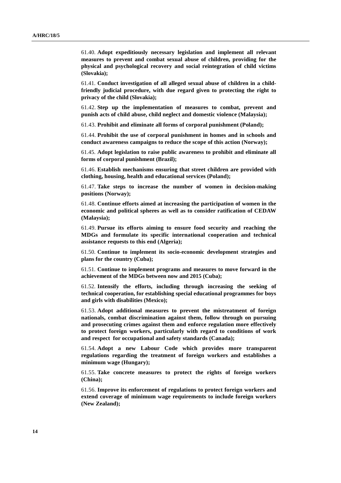61.40. **Adopt expeditiously necessary legislation and implement all relevant measures to prevent and combat sexual abuse of children, providing for the physical and psychological recovery and social reintegration of child victims (Slovakia);** 

61.41. **Conduct investigation of all alleged sexual abuse of children in a childfriendly judicial procedure, with due regard given to protecting the right to privacy of the child (Slovakia);** 

61.42. **Step up the implementation of measures to combat, prevent and punish acts of child abuse, child neglect and domestic violence (Malaysia);** 

61.43. **Prohibit and eliminate all forms of corporal punishment (Poland);** 

61.44. **Prohibit the use of corporal punishment in homes and in schools and conduct awareness campaigns to reduce the scope of this action (Norway);** 

61.45. **Adopt legislation to raise public awareness to prohibit and eliminate all forms of corporal punishment (Brazil);** 

61.46. **Establish mechanisms ensuring that street children are provided with clothing, housing, health and educational services (Poland);** 

61.47. **Take steps to increase the number of women in decision-making positions (Norway);** 

61.48. **Continue efforts aimed at increasing the participation of women in the economic and political spheres as well as to consider ratification of CEDAW (Malaysia);** 

61.49. **Pursue its efforts aiming to ensure food security and reaching the MDGs and formulate its specific international cooperation and technical assistance requests to this end (Algeria);** 

61.50. **Continue to implement its socio-economic development strategies and plans for the country (Cuba);** 

61.51. **Continue to implement programs and measures to move forward in the achievement of the MDGs between now and 2015 (Cuba);** 

61.52. **Intensify the efforts, including through increasing the seeking of technical cooperation, for establishing special educational programmes for boys and girls with disabilities (Mexico);** 

61.53. **Adopt additional measures to prevent the mistreatment of foreign nationals, combat discrimination against them, follow through on pursuing and prosecuting crimes against them and enforce regulation more effectively to protect foreign workers, particularly with regard to conditions of work and respect for occupational and safety standards (Canada);** 

61.54. **Adopt a new Labour Code which provides more transparent regulations regarding the treatment of foreign workers and establishes a minimum wage (Hungary);** 

61.55. **Take concrete measures to protect the rights of foreign workers (China);** 

61.56. **Improve its enforcement of regulations to protect foreign workers and extend coverage of minimum wage requirements to include foreign workers (New Zealand);**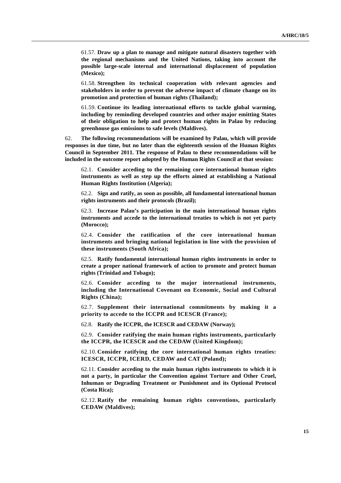61.57. **Draw up a plan to manage and mitigate natural disasters together with the regional mechanisms and the United Nations, taking into account the possible large-scale internal and international displacement of population (Mexico);** 

61.58. **Strengthen its technical cooperation with relevant agencies and stakeholders in order to prevent the adverse impact of climate change on its promotion and protection of human rights (Thailand);** 

61.59. **Continue its leading international efforts to tackle global warming, including by reminding developed countries and other major emitting States of their obligation to help and protect human rights in Palau by reducing greenhouse gas emissions to safe levels (Maldives).**

62. **The following recommendations will be examined by Palau, which will provide responses in due time, but no later than the eighteenth session of the Human Rights Council in September 2011. The response of Palau to these recommendations will be included in the outcome report adopted by the Human Rights Council at that session:**

62.1. **Consider acceding to the remaining core international human rights instruments as well as step up the efforts aimed at establishing a National Human Rights Institution (Algeria);**

62.2. **Sign and ratify, as soon as possible, all fundamental international human rights instruments and their protocols (Brazil);** 

62.3. **Increase Palau's participation in the main international human rights instruments and accede to the international treaties to which is not yet party (Morocco);** 

62.4. **Consider the ratification of the core international human instruments and bringing national legislation in line with the provision of these instruments (South Africa);** 

62.5. **Ratify fundamental international human rights instruments in order to create a proper national framework of action to promote and protect human rights (Trinidad and Tobago);** 

62.6. **Consider acceding to the major international instruments, including the International Covenant on Economic, Social and Cultural Rights (China);** 

62.7. **Supplement their international commitments by making it a priority to accede to the ICCPR and ICESCR (France);** 

62.8. **Ratify the ICCPR, the ICESCR and CEDAW (Norway);** 

62.9. **Consider ratifying the main human rights instruments, particularly the ICCPR, the ICESCR and the CEDAW (United Kingdom);** 

62.10. **Consider ratifying the core international human rights treaties: ICESCR, ICCPR, ICERD, CEDAW and CAT (Poland);** 

62.11. **Consider acceding to the main human rights instruments to which it is not a party, in particular the Convention against Torture and Other Cruel, Inhuman or Degrading Treatment or Punishment and its Optional Protocol (Costa Rica);** 

62.12. **Ratify the remaining human rights conventions, particularly CEDAW (Maldives);**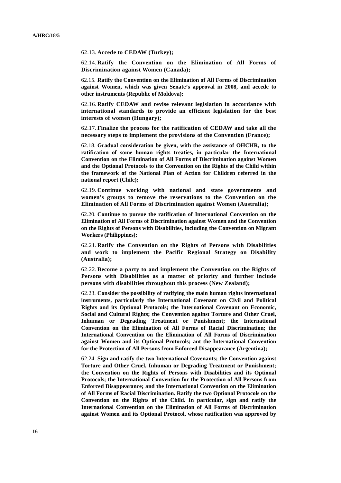62.13. **Accede to CEDAW (Turkey);** 

62.14. **Ratify the Convention on the Elimination of All Forms of Discrimination against Women (Canada);** 

62.15. **Ratify the Convention on the Elimination of All Forms of Discrimination against Women, which was given Senate's approval in 2008, and accede to other instruments (Republic of Moldova);** 

62.16. **Ratify CEDAW and revise relevant legislation in accordance with international standards to provide an efficient legislation for the best interests of women (Hungary);** 

62.17. **Finalize the process for the ratification of CEDAW and take all the necessary steps to implement the provisions of the Convention (France);** 

62.18. **Gradual consideration be given, with the assistance of OHCHR, to the ratification of some human rights treaties, in particular the International Convention on the Elimination of All Forms of Discrimination against Women and the Optional Protocols to the Convention on the Rights of the Child within the framework of the National Plan of Action for Children referred in the national report (Chile);** 

62.19. **Continue working with national and state governments and women's groups to remove the reservations to the Convention on the Elimination of All Forms of Discrimination against Women (Australia);** 

62.20. **Continue to pursue the ratification of International Convention on the Elimination of All Forms of Discrimination against Women and the Convention on the Rights of Persons with Disabilities, including the Convention on Migrant Workers (Philippines);** 

62.21. **Ratify the Convention on the Rights of Persons with Disabilities and work to implement the Pacific Regional Strategy on Disability (Australia);** 

62.22. **Become a party to and implement the Convention on the Rights of Persons with Disabilities as a matter of priority and further include persons with disabilities throughout this process (New Zealand);** 

62.23. **Consider the possibility of ratifying the main human rights international instruments, particularly the International Covenant on Civil and Political Rights and its Optional Protocols; the International Covenant on Economic, Social and Cultural Rights; the Convention against Torture and Other Cruel, Inhuman or Degrading Treatment or Punishment; the International Convention on the Elimination of All Forms of Racial Discrimination; the International Convention on the Elimination of All Forms of Discrimination against Women and its Optional Protocols; ant the International Convention for the Protection of All Persons from Enforced Disappearance (Argentina);** 

62.24. **Sign and ratify the two International Covenants; the Convention against Torture and Other Cruel, Inhuman or Degrading Treatment or Punishment; the Convention on the Rights of Persons with Disabilities and its Optional Protocols; the International Convention for the Protection of All Persons from Enforced Disappearance; and the International Convention on the Elimination of All Forms of Racial Discrimination. Ratify the two Optional Protocols on the Convention on the Rights of the Child. In particular, sign and ratify the International Convention on the Elimination of All Forms of Discrimination against Women and its Optional Protocol, whose ratification was approved by**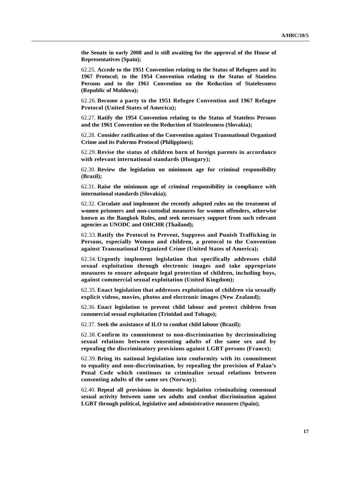**the Senate in early 2008 and is still awaiting for the approval of the House of Representatives (Spain);** 

62.25. **Accede to the 1951 Convention relating to the Status of Refugees and its 1967 Protocol; to the 1954 Convention relating to the Status of Stateless Persons and to the 1961 Convention on the Reduction of Statelessness (Republic of Moldova);** 

62.26. **Become a party to the 1951 Refugee Convention and 1967 Refugee Protocol (United States of America);** 

62.27. **Ratify the 1954 Convention relating to the Status of Stateless Persons and the 1961 Convention on the Reduction of Statelessness (Slovakia);** 

62.28. **Consider ratification of the Convention against Transnational Organized Crime and its Palermo Protocol (Philippines);** 

62.29. **Revise the status of children born of foreign parents in accordance with relevant international standards (Hungary);** 

62.30. **Review the legislation on minimum age for criminal responsibility (Brazil);** 

62.31. **Raise the minimum age of criminal responsibility in compliance with international standards (Slovakia);** 

62.32. **Circulate and implement the recently adopted rules on the treatment of women prisoners and non-custodial measures for women offenders, otherwise known as the Bangkok Rules, and seek necessary support from such relevant agencies as UNODC and OHCHR (Thailand);** 

62.33. **Ratify the Protocol to Prevent, Suppress and Punish Trafficking in Persons, especially Women and children, a protocol to the Convention against Transnational Organized Crime (United States of America);** 

62.34. **Urgently implement legislation that specifically addresses child sexual exploitation through electronic images and take appropriate measures to ensure adequate legal protection of children, including boys, against commercial sexual exploitation (United Kingdom);** 

62.35. **Enact legislation that addresses exploitation of children via sexually explicit videos, movies, photos and electronic images (New Zealand);** 

62.36. **Enact legislation to prevent child labour and protect children from commercial sexual exploitation (Trinidad and Tobago);** 

62.37. **Seek the assistance of ILO to combat child labour (Brazil);** 

62.38. **Confirm its commitment to non-discrimination by decriminalizing sexual relations between consenting adults of the same sex and by repealing the discriminatory provisions against LGBT persons (France);** 

62.39. **Bring its national legislation into conformity with its commitment to equality and non-discrimination, by repealing the provision of Palau's Penal Code which continues to criminalize sexual relations between consenting adults of the same sex (Norway);** 

62.40. **Repeal all provisions in domestic legislation criminalizing consensual sexual activity between same sex adults and combat discrimination against LGBT through political, legislative and administrative measures (Spain);**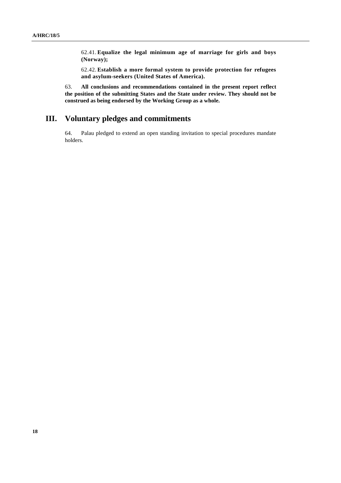62.41. **Equalize the legal minimum age of marriage for girls and boys (Norway);** 

62.42. **Establish a more formal system to provide protection for refugees and asylum-seekers (United States of America).**

63. **All conclusions and recommendations contained in the present report reflect the position of the submitting States and the State under review. They should not be construed as being endorsed by the Working Group as a whole.**

## **III. Voluntary pledges and commitments**

64. Palau pledged to extend an open standing invitation to special procedures mandate holders.